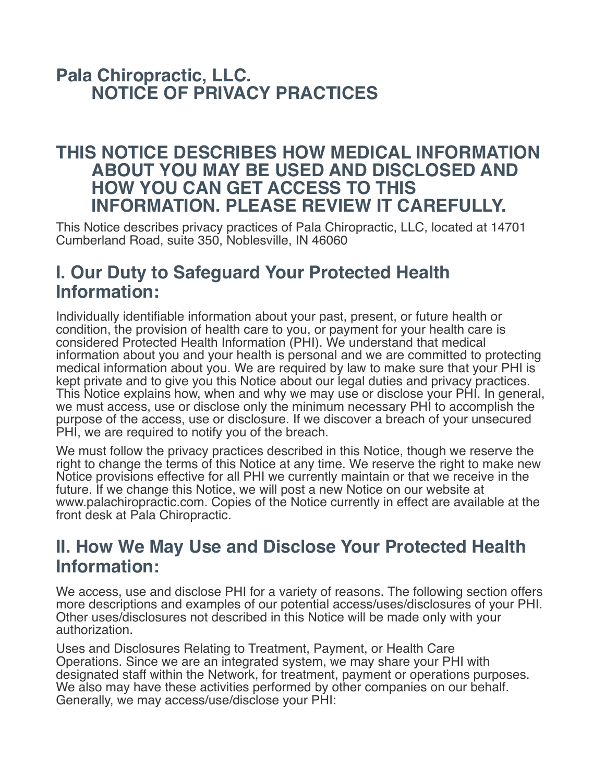### **Pala Chiropractic, LLC. NOTICE OF PRIVACY PRACTICES**

#### **THIS NOTICE DESCRIBES HOW MEDICAL INFORMATION ABOUT YOU MAY BE USED AND DISCLOSED AND HOW YOU CAN GET ACCESS TO THIS INFORMATION. PLEASE REVIEW IT CAREFULLY.**

This Notice describes privacy practices of Pala Chiropractic, LLC, located at 14701 Cumberland Road, suite 350, Noblesville, IN 46060

## **I. Our Duty to Safeguard Your Protected Health Information:**

Individually identifiable information about your past, present, or future health or condition, the provision of health care to you, or payment for your health care is considered Protected Health Information (PHI). We understand that medical information about you and your health is personal and we are committed to protecting medical information about you. We are required by law to make sure that your PHI is kept private and to give you this Notice about our legal duties and privacy practices. This Notice explains how, when and why we may use or disclose your PHI. In general, we must access, use or disclose only the minimum necessary PHI to accomplish the purpose of the access, use or disclosure. If we discover a breach of your unsecured PHI, we are required to notify you of the breach.

We must follow the privacy practices described in this Notice, though we reserve the right to change the terms of this Notice at any time. We reserve the right to make new Notice provisions effective for all PHI we currently maintain or that we receive in the future. If we change this Notice, we will post a new Notice on our website at www.palachiropractic.com. Copies of the Notice currently in effect are available at the front desk at Pala Chiropractic.

### **II. How We May Use and Disclose Your Protected Health Information:**

We access, use and disclose PHI for a variety of reasons. The following section offers more descriptions and examples of our potential access/uses/disclosures of your PHI. Other uses/disclosures not described in this Notice will be made only with your authorization.

Uses and Disclosures Relating to Treatment, Payment, or Health Care Operations. Since we are an integrated system, we may share your PHI with designated staff within the Network, for treatment, payment or operations purposes. We also may have these activities performed by other companies on our behalf. Generally, we may access/use/disclose your PHI: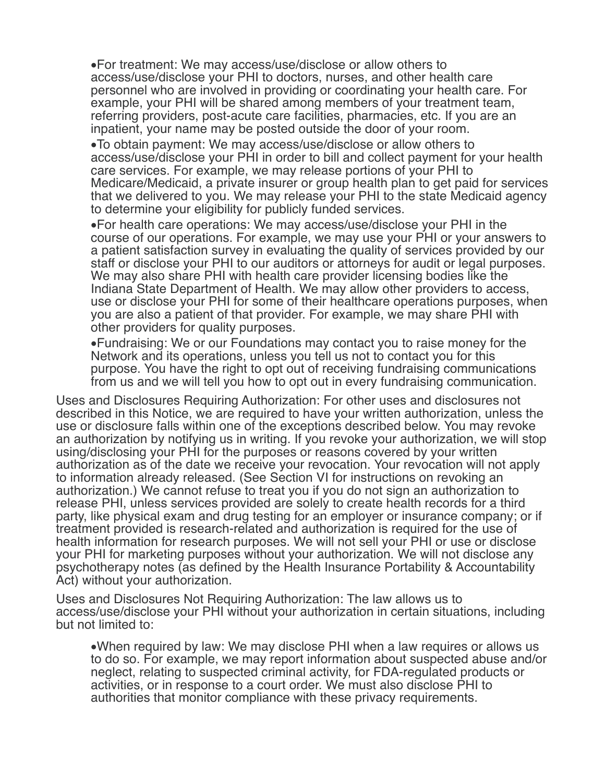•For treatment: We may access/use/disclose or allow others to access/use/disclose your PHI to doctors, nurses, and other health care personnel who are involved in providing or coordinating your health care. For example, your PHI will be shared among members of your treatment team, referring providers, post-acute care facilities, pharmacies, etc. If you are an inpatient, your name may be posted outside the door of your room.

•To obtain payment: We may access/use/disclose or allow others to access/use/disclose your PHI in order to bill and collect payment for your health care services. For example, we may release portions of your PHI to Medicare/Medicaid, a private insurer or group health plan to get paid for services that we delivered to you. We may release your PHI to the state Medicaid agency to determine your eligibility for publicly funded services.

•For health care operations: We may access/use/disclose your PHI in the course of our operations. For example, we may use your PHI or your answers to a patient satisfaction survey in evaluating the quality of services provided by our staff or disclose your PHI to our auditors or attorneys for audit or legal purposes. We may also share PHI with health care provider licensing bodies like the Indiana State Department of Health. We may allow other providers to access, use or disclose your PHI for some of their healthcare operations purposes, when you are also a patient of that provider. For example, we may share PHI with other providers for quality purposes.

•Fundraising: We or our Foundations may contact you to raise money for the Network and its operations, unless you tell us not to contact you for this purpose. You have the right to opt out of receiving fundraising communications from us and we will tell you how to opt out in every fundraising communication.

Uses and Disclosures Requiring Authorization: For other uses and disclosures not described in this Notice, we are required to have your written authorization, unless the use or disclosure falls within one of the exceptions described below. You may revoke an authorization by notifying us in writing. If you revoke your authorization, we will stop using/disclosing your PHI for the purposes or reasons covered by your written authorization as of the date we receive your revocation. Your revocation will not apply to information already released. (See Section VI for instructions on revoking an authorization.) We cannot refuse to treat you if you do not sign an authorization to release PHI, unless services provided are solely to create health records for a third party, like physical exam and drug testing for an employer or insurance company; or if treatment provided is research-related and authorization is required for the use of health information for research purposes. We will not sell your PHI or use or disclose your PHI for marketing purposes without your authorization. We will not disclose any psychotherapy notes (as defined by the Health Insurance Portability & Accountability Act) without your authorization.

Uses and Disclosures Not Requiring Authorization: The law allows us to access/use/disclose your PHI without your authorization in certain situations, including but not limited to:

•When required by law: We may disclose PHI when a law requires or allows us to do so. For example, we may report information about suspected abuse and/or neglect, relating to suspected criminal activity, for FDA-regulated products or activities, or in response to a court order. We must also disclose PHI to authorities that monitor compliance with these privacy requirements.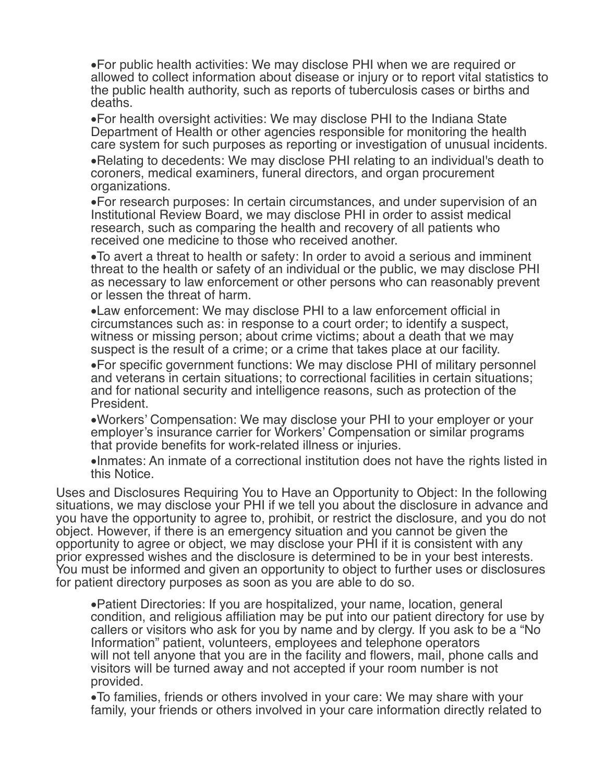•For public health activities: We may disclose PHI when we are required or allowed to collect information about disease or injury or to report vital statistics to the public health authority, such as reports of tuberculosis cases or births and deaths.

•For health oversight activities: We may disclose PHI to the Indiana State Department of Health or other agencies responsible for monitoring the health care system for such purposes as reporting or investigation of unusual incidents.

•Relating to decedents: We may disclose PHI relating to an individual's death to coroners, medical examiners, funeral directors, and organ procurement organizations.

•For research purposes: In certain circumstances, and under supervision of an Institutional Review Board, we may disclose PHI in order to assist medical research, such as comparing the health and recovery of all patients who received one medicine to those who received another.

•To avert a threat to health or safety: In order to avoid a serious and imminent threat to the health or safety of an individual or the public, we may disclose PHI as necessary to law enforcement or other persons who can reasonably prevent or lessen the threat of harm.

•Law enforcement: We may disclose PHI to a law enforcement official in circumstances such as: in response to a court order; to identify a suspect, witness or missing person; about crime victims; about a death that we may suspect is the result of a crime; or a crime that takes place at our facility.

•For specific government functions: We may disclose PHI of military personnel and veterans in certain situations; to correctional facilities in certain situations; and for national security and intelligence reasons, such as protection of the President.

•Workers' Compensation: We may disclose your PHI to your employer or your employer's insurance carrier for Workers' Compensation or similar programs that provide benefits for work-related illness or injuries.

•Inmates: An inmate of a correctional institution does not have the rights listed in this Notice.

Uses and Disclosures Requiring You to Have an Opportunity to Object: In the following situations, we may disclose your PHI if we tell you about the disclosure in advance and you have the opportunity to agree to, prohibit, or restrict the disclosure, and you do not object. However, if there is an emergency situation and you cannot be given the opportunity to agree or object, we may disclose your PHI if it is consistent with any prior expressed wishes and the disclosure is determined to be in your best interests. You must be informed and given an opportunity to object to further uses or disclosures for patient directory purposes as soon as you are able to do so.

•Patient Directories: If you are hospitalized, your name, location, general condition, and religious affiliation may be put into our patient directory for use by callers or visitors who ask for you by name and by clergy. If you ask to be a "No Information" patient, volunteers, employees and telephone operators will not tell anyone that you are in the facility and flowers, mail, phone calls and visitors will be turned away and not accepted if your room number is not provided.

•To families, friends or others involved in your care: We may share with your family, your friends or others involved in your care information directly related to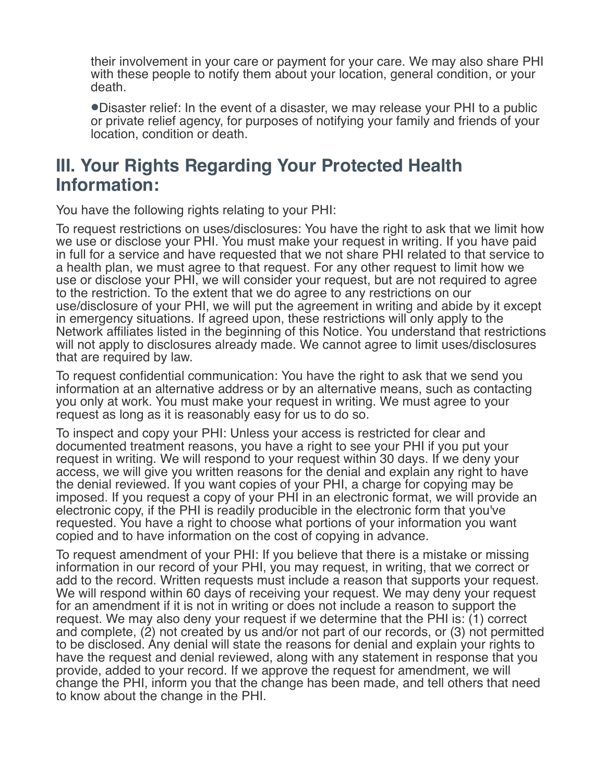their involvement in your care or payment for your care. We may also share PHI with these people to notify them about your location, general condition, or your death.

•Disaster relief: In the event of a disaster, we may release your PHI to a public or private relief agency, for purposes of notifying your family and friends of your location, condition or death.

### **III. Your Rights Regarding Your Protected Health Information:**

You have the following rights relating to your PHI:

To request restrictions on uses/disclosures: You have the right to ask that we limit how we use or disclose your PHI. You must make your request in writing. If you have paid in full for a service and have requested that we not share PHI related to that service to a health plan, we must agree to that request. For any other request to limit how we use or disclose your PHI, we will consider your request, but are not required to agree to the restriction. To the extent that we do agree to any restrictions on our use/disclosure of your PHI, we will put the agreement in writing and abide by it except in emergency situations. If agreed upon, these restrictions will only apply to the Network affiliates listed in the beginning of this Notice. You understand that restrictions will not apply to disclosures already made. We cannot agree to limit uses/disclosures that are required by law.

To request confidential communication: You have the right to ask that we send you information at an alternative address or by an alternative means, such as contacting you only at work. You must make your request in writing. We must agree to your request as long as it is reasonably easy for us to do so.

To inspect and copy your PHI: Unless your access is restricted for clear and documented treatment reasons, you have a right to see your PHI if you put your request in writing. We will respond to your request within 30 days. If we deny your access, we will give you written reasons for the denial and explain any right to have the denial reviewed. If you want copies of your PHI, a charge for copying may be imposed. If you request a copy of your PHI in an electronic format, we will provide an electronic copy, if the PHI is readily producible in the electronic form that you've requested. You have a right to choose what portions of your information you want copied and to have information on the cost of copying in advance.

To request amendment of your PHI: If you believe that there is a mistake or missing information in our record of your PHI, you may request, in writing, that we correct or add to the record. Written requests must include a reason that supports your request. We will respond within 60 days of receiving your request. We may deny your request for an amendment if it is not in writing or does not include a reason to support the request. We may also deny your request if we determine that the PHI is: (1) correct and complete, (2) not created by us and/or not part of our records, or (3) not permitted to be disclosed. Any denial will state the reasons for denial and explain your rights to have the request and denial reviewed, along with any statement in response that you provide, added to your record. If we approve the request for amendment, we will change the PHI, inform you that the change has been made, and tell others that need to know about the change in the PHI.